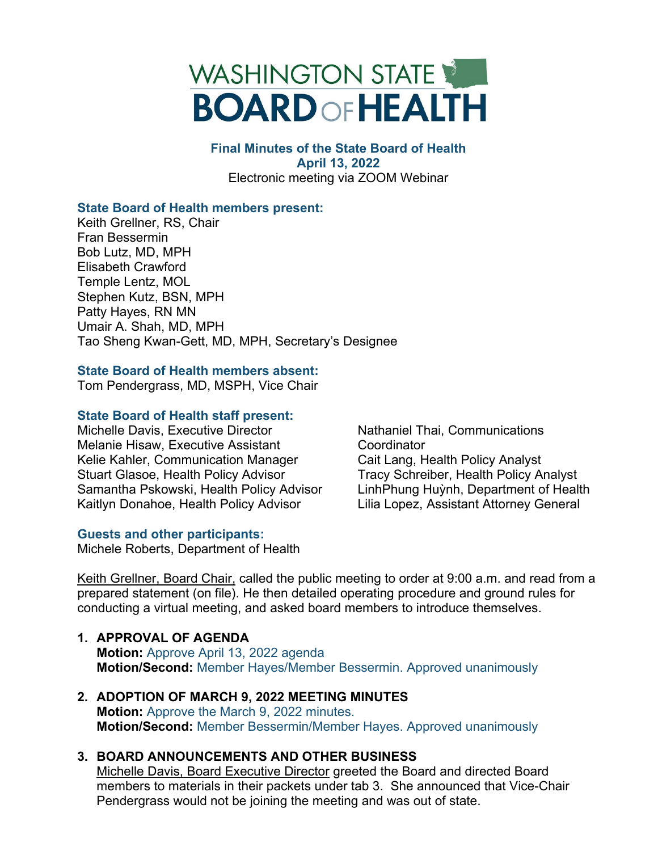

### **Final Minutes of the State Board of Health April 13, 2022**  Electronic meeting via ZOOM Webinar

# **State Board of Health members present:**

Keith Grellner, RS, Chair Fran Bessermin Bob Lutz, MD, MPH Elisabeth Crawford Temple Lentz, MOL Stephen Kutz, BSN, MPH Patty Hayes, RN MN Umair A. Shah, MD, MPH Tao Sheng Kwan-Gett, MD, MPH, Secretary's Designee

# **State Board of Health members absent:**

Tom Pendergrass, MD, MSPH, Vice Chair

# **State Board of Health staff present:**

Michelle Davis, Executive Director Melanie Hisaw, Executive Assistant Kelie Kahler, Communication Manager Stuart Glasoe, Health Policy Advisor Samantha Pskowski, Health Policy Advisor Kaitlyn Donahoe, Health Policy Advisor

# **Guests and other participants:**

Michele Roberts, Department of Health

Nathaniel Thai, Communications **Coordinator** Cait Lang, Health Policy Analyst Tracy Schreiber, Health Policy Analyst LinhPhung Huỳnh, Department of Health Lilia Lopez, Assistant Attorney General

Keith Grellner, Board Chair, called the public meeting to order at 9:00 a.m. and read from a prepared statement (on file). He then detailed operating procedure and ground rules for conducting a virtual meeting, and asked board members to introduce themselves.

- **1. APPROVAL OF AGENDA Motion:** Approve April 13, 2022 agenda **Motion/Second:** Member Hayes/Member Bessermin. Approved unanimously
- **2. ADOPTION OF MARCH 9, 2022 MEETING MINUTES Motion:** Approve the March 9, 2022 minutes. **Motion/Second:** Member Bessermin/Member Hayes. Approved unanimously

# **3. BOARD ANNOUNCEMENTS AND OTHER BUSINESS**

Michelle Davis, Board Executive Director greeted the Board and directed Board members to materials in their packets under tab 3. She announced that Vice-Chair Pendergrass would not be joining the meeting and was out of state.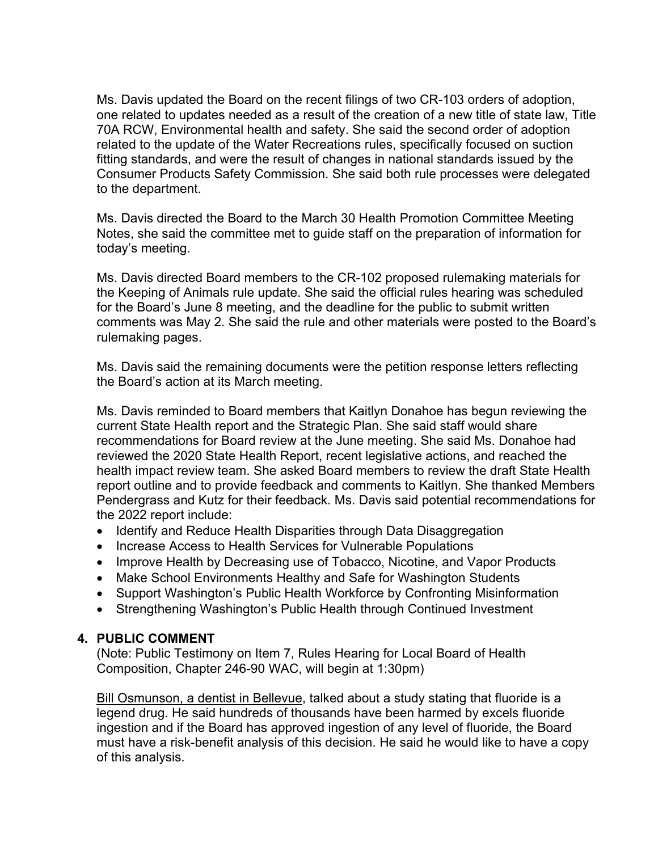Ms. Davis updated the Board on the recent filings of two CR-103 orders of adoption, one related to updates needed as a result of the creation of a new title of state law, Title 70A RCW, Environmental health and safety. She said the second order of adoption related to the update of the Water Recreations rules, specifically focused on suction fitting standards, and were the result of changes in national standards issued by the Consumer Products Safety Commission. She said both rule processes were delegated to the department.

Ms. Davis directed the Board to the March 30 Health Promotion Committee Meeting Notes, she said the committee met to guide staff on the preparation of information for today's meeting.

Ms. Davis directed Board members to the CR-102 proposed rulemaking materials for the Keeping of Animals rule update. She said the official rules hearing was scheduled for the Board's June 8 meeting, and the deadline for the public to submit written comments was May 2. She said the rule and other materials were posted to the Board's rulemaking pages.

Ms. Davis said the remaining documents were the petition response letters reflecting the Board's action at its March meeting.

Ms. Davis reminded to Board members that Kaitlyn Donahoe has begun reviewing the current State Health report and the Strategic Plan. She said staff would share recommendations for Board review at the June meeting. She said Ms. Donahoe had reviewed the 2020 State Health Report, recent legislative actions, and reached the health impact review team. She asked Board members to review the draft State Health report outline and to provide feedback and comments to Kaitlyn. She thanked Members Pendergrass and Kutz for their feedback. Ms. Davis said potential recommendations for the 2022 report include:

- Identify and Reduce Health Disparities through Data Disaggregation
- Increase Access to Health Services for Vulnerable Populations
- Improve Health by Decreasing use of Tobacco, Nicotine, and Vapor Products
- Make School Environments Healthy and Safe for Washington Students
- Support Washington's Public Health Workforce by Confronting Misinformation
- Strengthening Washington's Public Health through Continued Investment

# **4. PUBLIC COMMENT**

(Note: Public Testimony on Item 7, Rules Hearing for Local Board of Health Composition, Chapter 246-90 WAC, will begin at 1:30pm)

Bill Osmunson, a dentist in Bellevue, talked about a study stating that fluoride is a legend drug. He said hundreds of thousands have been harmed by excels fluoride ingestion and if the Board has approved ingestion of any level of fluoride, the Board must have a risk-benefit analysis of this decision. He said he would like to have a copy of this analysis.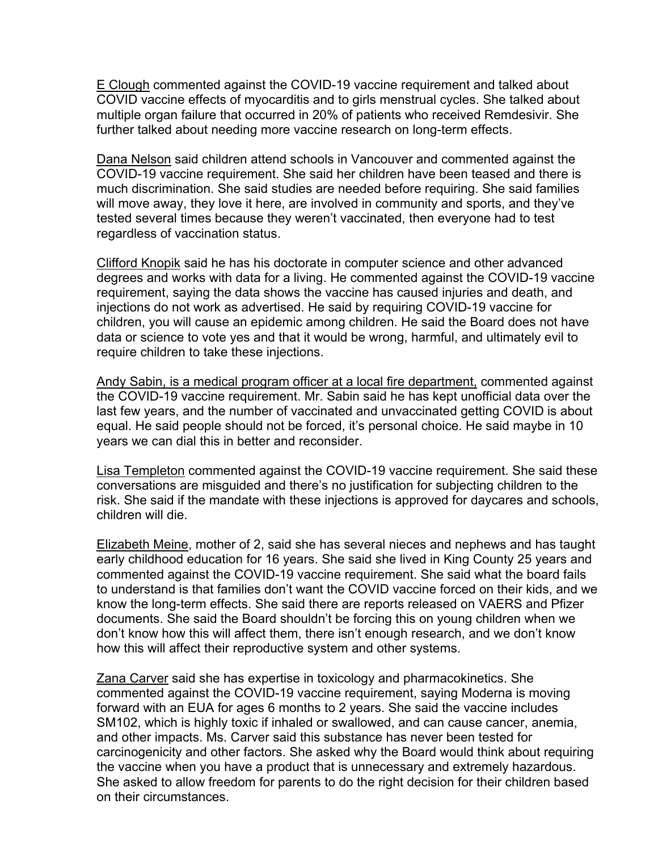E Clough commented against the COVID-19 vaccine requirement and talked about COVID vaccine effects of myocarditis and to girls menstrual cycles. She talked about multiple organ failure that occurred in 20% of patients who received Remdesivir. She further talked about needing more vaccine research on long-term effects.

Dana Nelson said children attend schools in Vancouver and commented against the COVID-19 vaccine requirement. She said her children have been teased and there is much discrimination. She said studies are needed before requiring. She said families will move away, they love it here, are involved in community and sports, and they've tested several times because they weren't vaccinated, then everyone had to test regardless of vaccination status.

Clifford Knopik said he has his doctorate in computer science and other advanced degrees and works with data for a living. He commented against the COVID-19 vaccine requirement, saying the data shows the vaccine has caused injuries and death, and injections do not work as advertised. He said by requiring COVID-19 vaccine for children, you will cause an epidemic among children. He said the Board does not have data or science to vote yes and that it would be wrong, harmful, and ultimately evil to require children to take these injections.

Andy Sabin, is a medical program officer at a local fire department, commented against the COVID-19 vaccine requirement. Mr. Sabin said he has kept unofficial data over the last few years, and the number of vaccinated and unvaccinated getting COVID is about equal. He said people should not be forced, it's personal choice. He said maybe in 10 years we can dial this in better and reconsider.

Lisa Templeton commented against the COVID-19 vaccine requirement. She said these conversations are misguided and there's no justification for subjecting children to the risk. She said if the mandate with these injections is approved for daycares and schools, children will die.

Elizabeth Meine, mother of 2, said she has several nieces and nephews and has taught early childhood education for 16 years. She said she lived in King County 25 years and commented against the COVID-19 vaccine requirement. She said what the board fails to understand is that families don't want the COVID vaccine forced on their kids, and we know the long-term effects. She said there are reports released on VAERS and Pfizer documents. She said the Board shouldn't be forcing this on young children when we don't know how this will affect them, there isn't enough research, and we don't know how this will affect their reproductive system and other systems.

Zana Carver said she has expertise in toxicology and pharmacokinetics. She commented against the COVID-19 vaccine requirement, saying Moderna is moving forward with an EUA for ages 6 months to 2 years. She said the vaccine includes SM102, which is highly toxic if inhaled or swallowed, and can cause cancer, anemia, and other impacts. Ms. Carver said this substance has never been tested for carcinogenicity and other factors. She asked why the Board would think about requiring the vaccine when you have a product that is unnecessary and extremely hazardous. She asked to allow freedom for parents to do the right decision for their children based on their circumstances.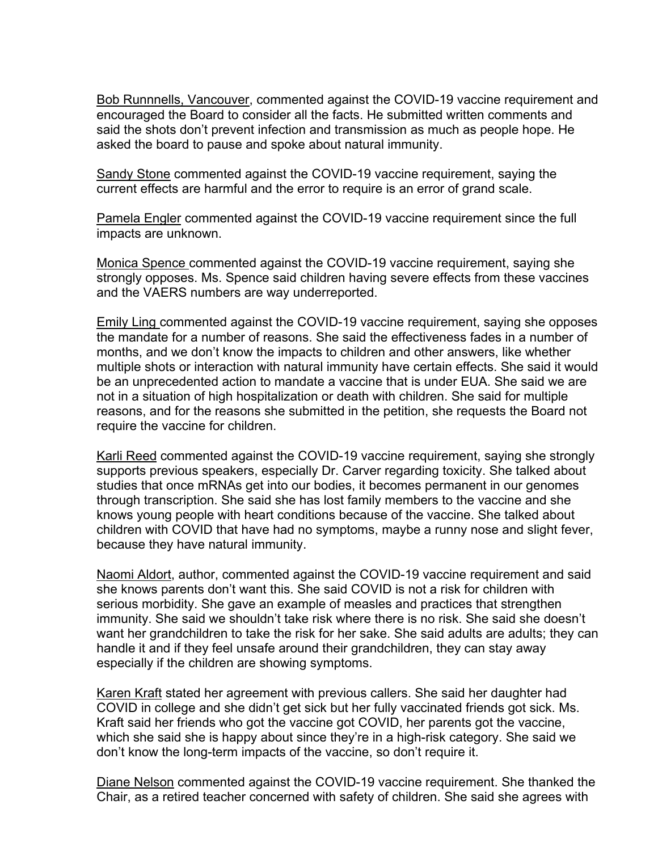Bob Runnnells, Vancouver, commented against the COVID-19 vaccine requirement and encouraged the Board to consider all the facts. He submitted written comments and said the shots don't prevent infection and transmission as much as people hope. He asked the board to pause and spoke about natural immunity.

Sandy Stone commented against the COVID-19 vaccine requirement, saying the current effects are harmful and the error to require is an error of grand scale.

Pamela Engler commented against the COVID-19 vaccine requirement since the full impacts are unknown.

Monica Spence commented against the COVID-19 vaccine requirement, saying she strongly opposes. Ms. Spence said children having severe effects from these vaccines and the VAERS numbers are way underreported.

Emily Ling commented against the COVID-19 vaccine requirement, saying she opposes the mandate for a number of reasons. She said the effectiveness fades in a number of months, and we don't know the impacts to children and other answers, like whether multiple shots or interaction with natural immunity have certain effects. She said it would be an unprecedented action to mandate a vaccine that is under EUA. She said we are not in a situation of high hospitalization or death with children. She said for multiple reasons, and for the reasons she submitted in the petition, she requests the Board not require the vaccine for children.

Karli Reed commented against the COVID-19 vaccine requirement, saying she strongly supports previous speakers, especially Dr. Carver regarding toxicity. She talked about studies that once mRNAs get into our bodies, it becomes permanent in our genomes through transcription. She said she has lost family members to the vaccine and she knows young people with heart conditions because of the vaccine. She talked about children with COVID that have had no symptoms, maybe a runny nose and slight fever, because they have natural immunity.

Naomi Aldort, author, commented against the COVID-19 vaccine requirement and said she knows parents don't want this. She said COVID is not a risk for children with serious morbidity. She gave an example of measles and practices that strengthen immunity. She said we shouldn't take risk where there is no risk. She said she doesn't want her grandchildren to take the risk for her sake. She said adults are adults; they can handle it and if they feel unsafe around their grandchildren, they can stay away especially if the children are showing symptoms.

Karen Kraft stated her agreement with previous callers. She said her daughter had COVID in college and she didn't get sick but her fully vaccinated friends got sick. Ms. Kraft said her friends who got the vaccine got COVID, her parents got the vaccine, which she said she is happy about since they're in a high-risk category. She said we don't know the long-term impacts of the vaccine, so don't require it.

Diane Nelson commented against the COVID-19 vaccine requirement. She thanked the Chair, as a retired teacher concerned with safety of children. She said she agrees with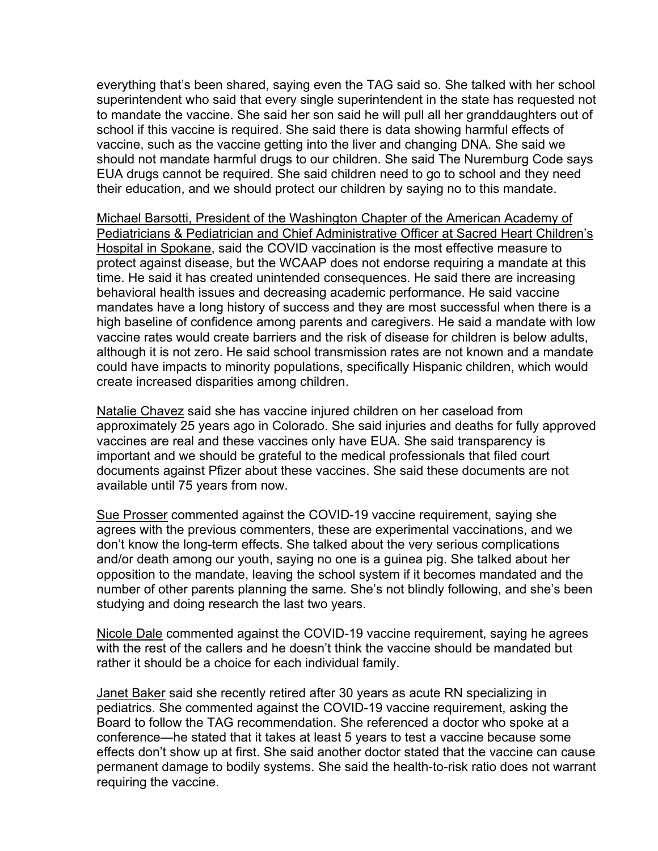everything that's been shared, saying even the TAG said so. She talked with her school superintendent who said that every single superintendent in the state has requested not to mandate the vaccine. She said her son said he will pull all her granddaughters out of school if this vaccine is required. She said there is data showing harmful effects of vaccine, such as the vaccine getting into the liver and changing DNA. She said we should not mandate harmful drugs to our children. She said The Nuremburg Code says EUA drugs cannot be required. She said children need to go to school and they need their education, and we should protect our children by saying no to this mandate.

Michael Barsotti, President of the Washington Chapter of the American Academy of Pediatricians & Pediatrician and Chief Administrative Officer at Sacred Heart Children's Hospital in Spokane, said the COVID vaccination is the most effective measure to protect against disease, but the WCAAP does not endorse requiring a mandate at this time. He said it has created unintended consequences. He said there are increasing behavioral health issues and decreasing academic performance. He said vaccine mandates have a long history of success and they are most successful when there is a high baseline of confidence among parents and caregivers. He said a mandate with low vaccine rates would create barriers and the risk of disease for children is below adults, although it is not zero. He said school transmission rates are not known and a mandate could have impacts to minority populations, specifically Hispanic children, which would create increased disparities among children.

Natalie Chavez said she has vaccine injured children on her caseload from approximately 25 years ago in Colorado. She said injuries and deaths for fully approved vaccines are real and these vaccines only have EUA. She said transparency is important and we should be grateful to the medical professionals that filed court documents against Pfizer about these vaccines. She said these documents are not available until 75 years from now.

Sue Prosser commented against the COVID-19 vaccine requirement, saying she agrees with the previous commenters, these are experimental vaccinations, and we don't know the long-term effects. She talked about the very serious complications and/or death among our youth, saying no one is a guinea pig. She talked about her opposition to the mandate, leaving the school system if it becomes mandated and the number of other parents planning the same. She's not blindly following, and she's been studying and doing research the last two years.

Nicole Dale commented against the COVID-19 vaccine requirement, saying he agrees with the rest of the callers and he doesn't think the vaccine should be mandated but rather it should be a choice for each individual family.

Janet Baker said she recently retired after 30 years as acute RN specializing in pediatrics. She commented against the COVID-19 vaccine requirement, asking the Board to follow the TAG recommendation. She referenced a doctor who spoke at a conference—he stated that it takes at least 5 years to test a vaccine because some effects don't show up at first. She said another doctor stated that the vaccine can cause permanent damage to bodily systems. She said the health-to-risk ratio does not warrant requiring the vaccine.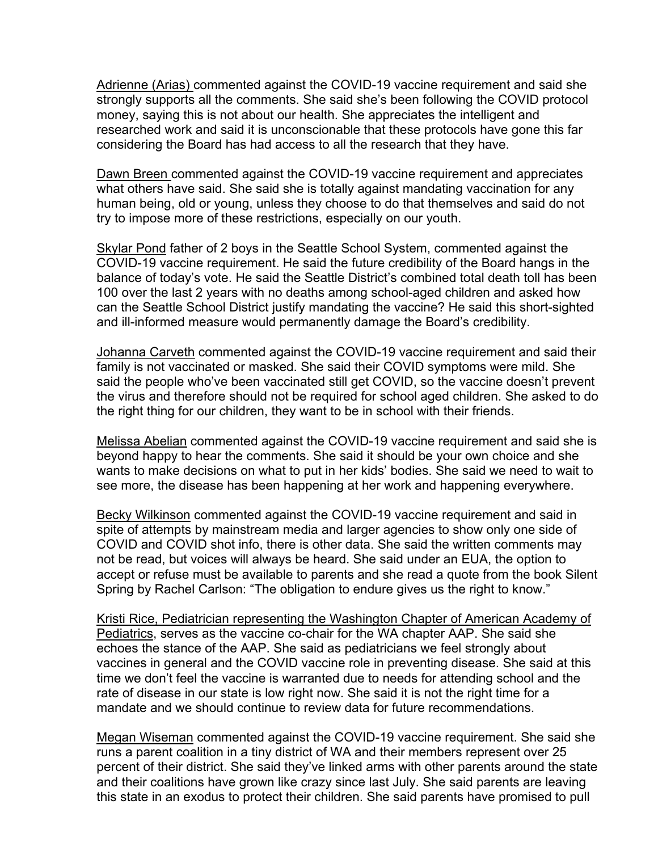Adrienne (Arias) commented against the COVID-19 vaccine requirement and said she strongly supports all the comments. She said she's been following the COVID protocol money, saying this is not about our health. She appreciates the intelligent and researched work and said it is unconscionable that these protocols have gone this far considering the Board has had access to all the research that they have.

Dawn Breen commented against the COVID-19 vaccine requirement and appreciates what others have said. She said she is totally against mandating vaccination for any human being, old or young, unless they choose to do that themselves and said do not try to impose more of these restrictions, especially on our youth.

Skylar Pond father of 2 boys in the Seattle School System, commented against the COVID-19 vaccine requirement. He said the future credibility of the Board hangs in the balance of today's vote. He said the Seattle District's combined total death toll has been 100 over the last 2 years with no deaths among school-aged children and asked how can the Seattle School District justify mandating the vaccine? He said this short-sighted and ill-informed measure would permanently damage the Board's credibility.

Johanna Carveth commented against the COVID-19 vaccine requirement and said their family is not vaccinated or masked. She said their COVID symptoms were mild. She said the people who've been vaccinated still get COVID, so the vaccine doesn't prevent the virus and therefore should not be required for school aged children. She asked to do the right thing for our children, they want to be in school with their friends.

Melissa Abelian commented against the COVID-19 vaccine requirement and said she is beyond happy to hear the comments. She said it should be your own choice and she wants to make decisions on what to put in her kids' bodies. She said we need to wait to see more, the disease has been happening at her work and happening everywhere.

Becky Wilkinson commented against the COVID-19 vaccine requirement and said in spite of attempts by mainstream media and larger agencies to show only one side of COVID and COVID shot info, there is other data. She said the written comments may not be read, but voices will always be heard. She said under an EUA, the option to accept or refuse must be available to parents and she read a quote from the book Silent Spring by Rachel Carlson: "The obligation to endure gives us the right to know."

Kristi Rice, Pediatrician representing the Washington Chapter of American Academy of Pediatrics, serves as the vaccine co-chair for the WA chapter AAP. She said she echoes the stance of the AAP. She said as pediatricians we feel strongly about vaccines in general and the COVID vaccine role in preventing disease. She said at this time we don't feel the vaccine is warranted due to needs for attending school and the rate of disease in our state is low right now. She said it is not the right time for a mandate and we should continue to review data for future recommendations.

Megan Wiseman commented against the COVID-19 vaccine requirement. She said she runs a parent coalition in a tiny district of WA and their members represent over 25 percent of their district. She said they've linked arms with other parents around the state and their coalitions have grown like crazy since last July. She said parents are leaving this state in an exodus to protect their children. She said parents have promised to pull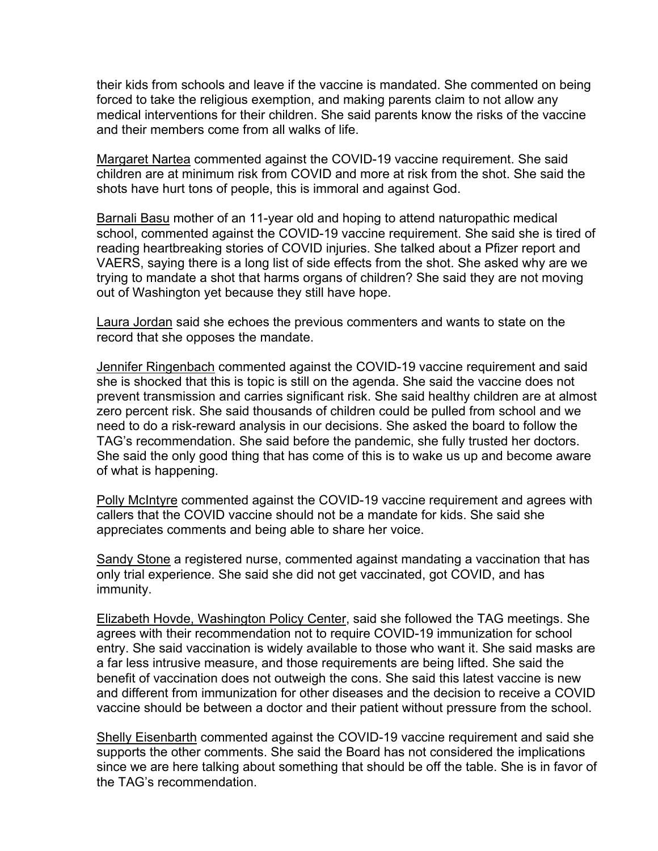their kids from schools and leave if the vaccine is mandated. She commented on being forced to take the religious exemption, and making parents claim to not allow any medical interventions for their children. She said parents know the risks of the vaccine and their members come from all walks of life.

Margaret Nartea commented against the COVID-19 vaccine requirement. She said children are at minimum risk from COVID and more at risk from the shot. She said the shots have hurt tons of people, this is immoral and against God.

Barnali Basu mother of an 11-year old and hoping to attend naturopathic medical school, commented against the COVID-19 vaccine requirement. She said she is tired of reading heartbreaking stories of COVID injuries. She talked about a Pfizer report and VAERS, saying there is a long list of side effects from the shot. She asked why are we trying to mandate a shot that harms organs of children? She said they are not moving out of Washington yet because they still have hope.

Laura Jordan said she echoes the previous commenters and wants to state on the record that she opposes the mandate.

Jennifer Ringenbach commented against the COVID-19 vaccine requirement and said she is shocked that this is topic is still on the agenda. She said the vaccine does not prevent transmission and carries significant risk. She said healthy children are at almost zero percent risk. She said thousands of children could be pulled from school and we need to do a risk-reward analysis in our decisions. She asked the board to follow the TAG's recommendation. She said before the pandemic, she fully trusted her doctors. She said the only good thing that has come of this is to wake us up and become aware of what is happening.

Polly McIntyre commented against the COVID-19 vaccine requirement and agrees with callers that the COVID vaccine should not be a mandate for kids. She said she appreciates comments and being able to share her voice.

Sandy Stone a registered nurse, commented against mandating a vaccination that has only trial experience. She said she did not get vaccinated, got COVID, and has immunity.

Elizabeth Hovde, Washington Policy Center, said she followed the TAG meetings. She agrees with their recommendation not to require COVID-19 immunization for school entry. She said vaccination is widely available to those who want it. She said masks are a far less intrusive measure, and those requirements are being lifted. She said the benefit of vaccination does not outweigh the cons. She said this latest vaccine is new and different from immunization for other diseases and the decision to receive a COVID vaccine should be between a doctor and their patient without pressure from the school.

Shelly Eisenbarth commented against the COVID-19 vaccine requirement and said she supports the other comments. She said the Board has not considered the implications since we are here talking about something that should be off the table. She is in favor of the TAG's recommendation.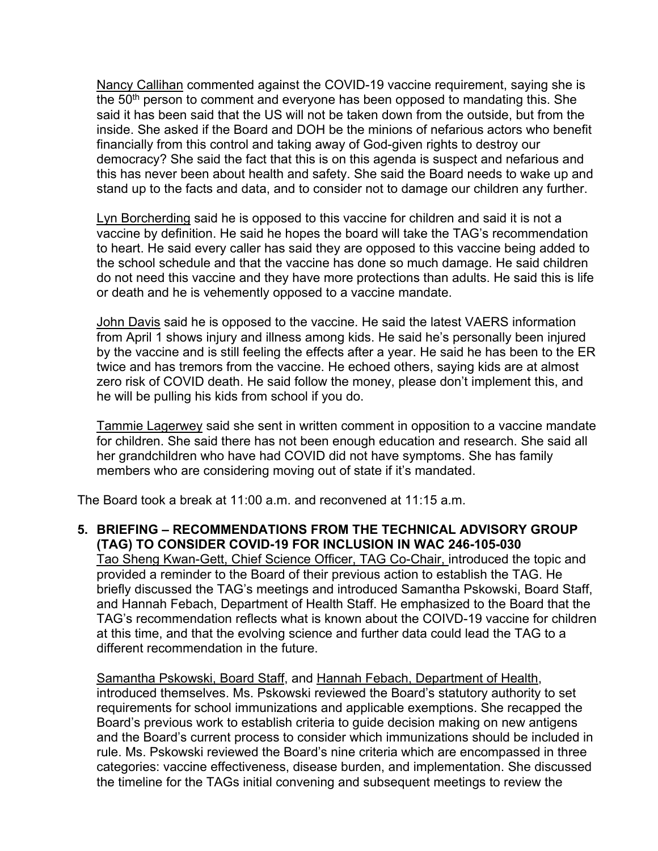Nancy Callihan commented against the COVID-19 vaccine requirement, saying she is the 50<sup>th</sup> person to comment and everyone has been opposed to mandating this. She said it has been said that the US will not be taken down from the outside, but from the inside. She asked if the Board and DOH be the minions of nefarious actors who benefit financially from this control and taking away of God-given rights to destroy our democracy? She said the fact that this is on this agenda is suspect and nefarious and this has never been about health and safety. She said the Board needs to wake up and stand up to the facts and data, and to consider not to damage our children any further.

Lyn Borcherding said he is opposed to this vaccine for children and said it is not a vaccine by definition. He said he hopes the board will take the TAG's recommendation to heart. He said every caller has said they are opposed to this vaccine being added to the school schedule and that the vaccine has done so much damage. He said children do not need this vaccine and they have more protections than adults. He said this is life or death and he is vehemently opposed to a vaccine mandate.

John Davis said he is opposed to the vaccine. He said the latest VAERS information from April 1 shows injury and illness among kids. He said he's personally been injured by the vaccine and is still feeling the effects after a year. He said he has been to the ER twice and has tremors from the vaccine. He echoed others, saying kids are at almost zero risk of COVID death. He said follow the money, please don't implement this, and he will be pulling his kids from school if you do.

Tammie Lagerwey said she sent in written comment in opposition to a vaccine mandate for children. She said there has not been enough education and research. She said all her grandchildren who have had COVID did not have symptoms. She has family members who are considering moving out of state if it's mandated.

The Board took a break at 11:00 a.m. and reconvened at 11:15 a.m.

# **5. BRIEFING – RECOMMENDATIONS FROM THE TECHNICAL ADVISORY GROUP (TAG) TO CONSIDER COVID-19 FOR INCLUSION IN WAC 246-105-030**

Tao Sheng Kwan-Gett, Chief Science Officer, TAG Co-Chair, introduced the topic and provided a reminder to the Board of their previous action to establish the TAG. He briefly discussed the TAG's meetings and introduced Samantha Pskowski, Board Staff, and Hannah Febach, Department of Health Staff. He emphasized to the Board that the TAG's recommendation reflects what is known about the COIVD-19 vaccine for children at this time, and that the evolving science and further data could lead the TAG to a different recommendation in the future.

Samantha Pskowski, Board Staff, and Hannah Febach, Department of Health, introduced themselves. Ms. Pskowski reviewed the Board's statutory authority to set requirements for school immunizations and applicable exemptions. She recapped the Board's previous work to establish criteria to guide decision making on new antigens and the Board's current process to consider which immunizations should be included in rule. Ms. Pskowski reviewed the Board's nine criteria which are encompassed in three categories: vaccine effectiveness, disease burden, and implementation. She discussed the timeline for the TAGs initial convening and subsequent meetings to review the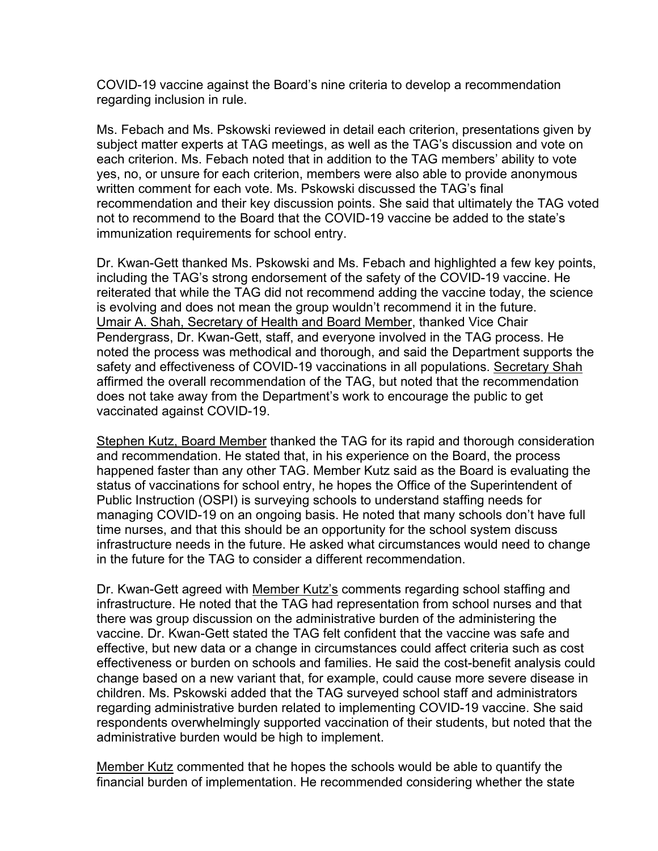COVID-19 vaccine against the Board's nine criteria to develop a recommendation regarding inclusion in rule.

Ms. Febach and Ms. Pskowski reviewed in detail each criterion, presentations given by subject matter experts at TAG meetings, as well as the TAG's discussion and vote on each criterion. Ms. Febach noted that in addition to the TAG members' ability to vote yes, no, or unsure for each criterion, members were also able to provide anonymous written comment for each vote. Ms. Pskowski discussed the TAG's final recommendation and their key discussion points. She said that ultimately the TAG voted not to recommend to the Board that the COVID-19 vaccine be added to the state's immunization requirements for school entry.

Dr. Kwan-Gett thanked Ms. Pskowski and Ms. Febach and highlighted a few key points, including the TAG's strong endorsement of the safety of the COVID-19 vaccine. He reiterated that while the TAG did not recommend adding the vaccine today, the science is evolving and does not mean the group wouldn't recommend it in the future. Umair A. Shah, Secretary of Health and Board Member, thanked Vice Chair Pendergrass, Dr. Kwan-Gett, staff, and everyone involved in the TAG process. He noted the process was methodical and thorough, and said the Department supports the safety and effectiveness of COVID-19 vaccinations in all populations. Secretary Shah affirmed the overall recommendation of the TAG, but noted that the recommendation does not take away from the Department's work to encourage the public to get vaccinated against COVID-19.

Stephen Kutz, Board Member thanked the TAG for its rapid and thorough consideration and recommendation. He stated that, in his experience on the Board, the process happened faster than any other TAG. Member Kutz said as the Board is evaluating the status of vaccinations for school entry, he hopes the Office of the Superintendent of Public Instruction (OSPI) is surveying schools to understand staffing needs for managing COVID-19 on an ongoing basis. He noted that many schools don't have full time nurses, and that this should be an opportunity for the school system discuss infrastructure needs in the future. He asked what circumstances would need to change in the future for the TAG to consider a different recommendation.

Dr. Kwan-Gett agreed with Member Kutz's comments regarding school staffing and infrastructure. He noted that the TAG had representation from school nurses and that there was group discussion on the administrative burden of the administering the vaccine. Dr. Kwan-Gett stated the TAG felt confident that the vaccine was safe and effective, but new data or a change in circumstances could affect criteria such as cost effectiveness or burden on schools and families. He said the cost-benefit analysis could change based on a new variant that, for example, could cause more severe disease in children. Ms. Pskowski added that the TAG surveyed school staff and administrators regarding administrative burden related to implementing COVID-19 vaccine. She said respondents overwhelmingly supported vaccination of their students, but noted that the administrative burden would be high to implement.

Member Kutz commented that he hopes the schools would be able to quantify the financial burden of implementation. He recommended considering whether the state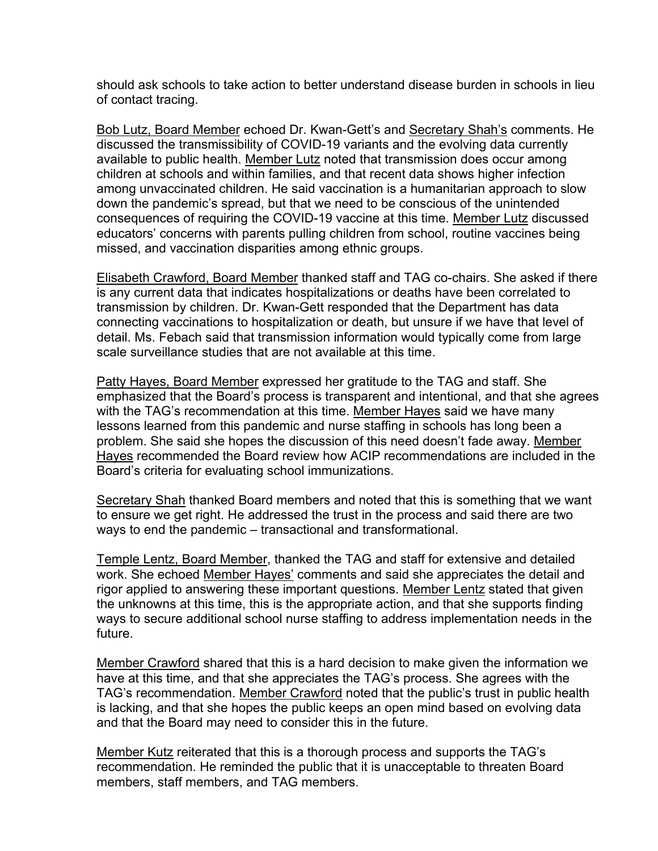should ask schools to take action to better understand disease burden in schools in lieu of contact tracing.

Bob Lutz, Board Member echoed Dr. Kwan-Gett's and Secretary Shah's comments. He discussed the transmissibility of COVID-19 variants and the evolving data currently available to public health. Member Lutz noted that transmission does occur among children at schools and within families, and that recent data shows higher infection among unvaccinated children. He said vaccination is a humanitarian approach to slow down the pandemic's spread, but that we need to be conscious of the unintended consequences of requiring the COVID-19 vaccine at this time. Member Lutz discussed educators' concerns with parents pulling children from school, routine vaccines being missed, and vaccination disparities among ethnic groups.

Elisabeth Crawford, Board Member thanked staff and TAG co-chairs. She asked if there is any current data that indicates hospitalizations or deaths have been correlated to transmission by children. Dr. Kwan-Gett responded that the Department has data connecting vaccinations to hospitalization or death, but unsure if we have that level of detail. Ms. Febach said that transmission information would typically come from large scale surveillance studies that are not available at this time.

Patty Hayes, Board Member expressed her gratitude to the TAG and staff. She emphasized that the Board's process is transparent and intentional, and that she agrees with the TAG's recommendation at this time. Member Hayes said we have many lessons learned from this pandemic and nurse staffing in schools has long been a problem. She said she hopes the discussion of this need doesn't fade away. Member Hayes recommended the Board review how ACIP recommendations are included in the Board's criteria for evaluating school immunizations.

Secretary Shah thanked Board members and noted that this is something that we want to ensure we get right. He addressed the trust in the process and said there are two ways to end the pandemic – transactional and transformational.

Temple Lentz, Board Member, thanked the TAG and staff for extensive and detailed work. She echoed Member Hayes' comments and said she appreciates the detail and rigor applied to answering these important questions. Member Lentz stated that given the unknowns at this time, this is the appropriate action, and that she supports finding ways to secure additional school nurse staffing to address implementation needs in the future.

Member Crawford shared that this is a hard decision to make given the information we have at this time, and that she appreciates the TAG's process. She agrees with the TAG's recommendation. Member Crawford noted that the public's trust in public health is lacking, and that she hopes the public keeps an open mind based on evolving data and that the Board may need to consider this in the future.

Member Kutz reiterated that this is a thorough process and supports the TAG's recommendation. He reminded the public that it is unacceptable to threaten Board members, staff members, and TAG members.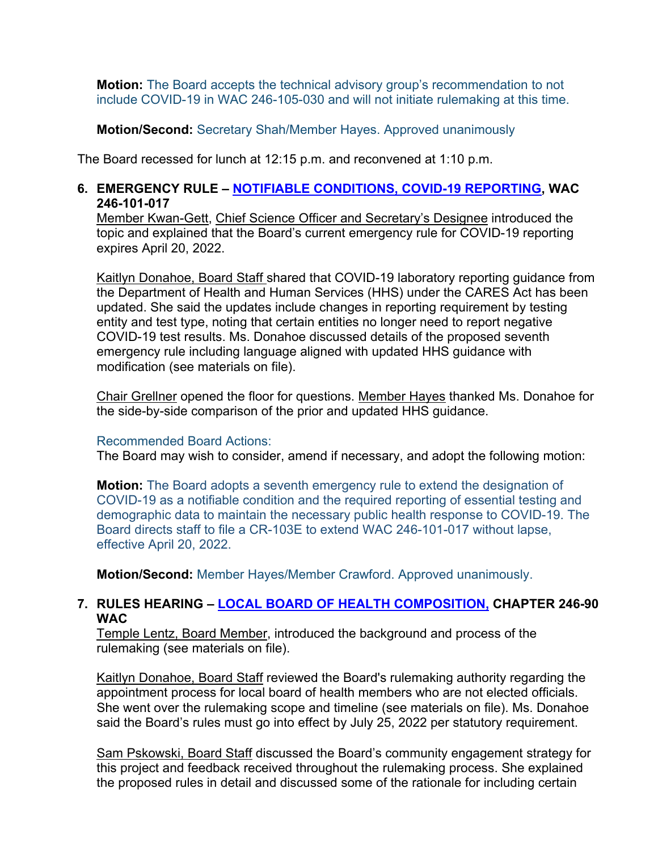**Motion:** The Board accepts the technical advisory group's recommendation to not include COVID-19 in WAC 246-105-030 and will not initiate rulemaking at this time.

**Motion/Second:** Secretary Shah/Member Hayes. Approved unanimously

The Board recessed for lunch at 12:15 p.m. and reconvened at 1:10 p.m.

## **6. EMERGENCY RULE – [NOTIFIABLE CONDITIONS, COVID-19 REPORTING,](https://sboh.wa.gov/rulemaking/current-rules-and-activity/notifiable-conditions-covid-19-reporting) WAC 246-101-017**

Member Kwan-Gett, Chief Science Officer and Secretary's Designee introduced the topic and explained that the Board's current emergency rule for COVID-19 reporting expires April 20, 2022.

Kaitlyn Donahoe, Board Staff shared that COVID-19 laboratory reporting guidance from the Department of Health and Human Services (HHS) under the CARES Act has been updated. She said the updates include changes in reporting requirement by testing entity and test type, noting that certain entities no longer need to report negative COVID-19 test results. Ms. Donahoe discussed details of the proposed seventh emergency rule including language aligned with updated HHS guidance with modification (see materials on file).

Chair Grellner opened the floor for questions. Member Hayes thanked Ms. Donahoe for the side-by-side comparison of the prior and updated HHS guidance.

#### Recommended Board Actions:

The Board may wish to consider, amend if necessary, and adopt the following motion:

**Motion:** The Board adopts a seventh emergency rule to extend the designation of COVID-19 as a notifiable condition and the required reporting of essential testing and demographic data to maintain the necessary public health response to COVID-19. The Board directs staff to file a CR-103E to extend WAC 246-101-017 without lapse, effective April 20, 2022.

**Motion/Second:** Member Hayes/Member Crawford. Approved unanimously.

# **7. RULES HEARING – [LOCAL BOARD OF HEALTH COMPOSITION,](https://sboh.wa.gov/rulemaking/agency-rules-and-activity/local-board-health-composition) CHAPTER 246-90 WAC**

Temple Lentz, Board Member, introduced the background and process of the rulemaking (see materials on file).

Kaitlyn Donahoe, Board Staff reviewed the Board's rulemaking authority regarding the appointment process for local board of health members who are not elected officials. She went over the rulemaking scope and timeline (see materials on file). Ms. Donahoe said the Board's rules must go into effect by July 25, 2022 per statutory requirement.

Sam Pskowski, Board Staff discussed the Board's community engagement strategy for this project and feedback received throughout the rulemaking process. She explained the proposed rules in detail and discussed some of the rationale for including certain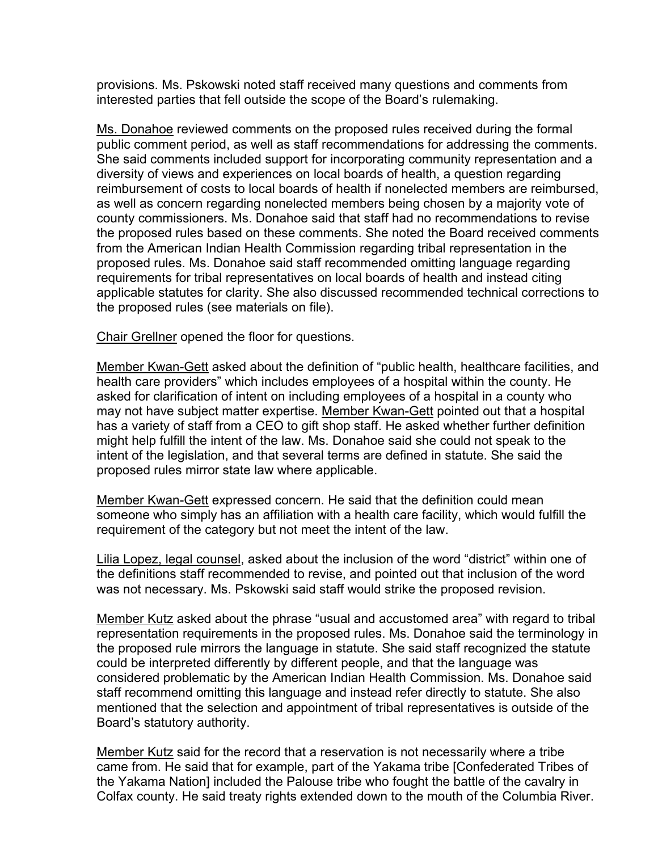provisions. Ms. Pskowski noted staff received many questions and comments from interested parties that fell outside the scope of the Board's rulemaking.

Ms. Donahoe reviewed comments on the proposed rules received during the formal public comment period, as well as staff recommendations for addressing the comments. She said comments included support for incorporating community representation and a diversity of views and experiences on local boards of health, a question regarding reimbursement of costs to local boards of health if nonelected members are reimbursed, as well as concern regarding nonelected members being chosen by a majority vote of county commissioners. Ms. Donahoe said that staff had no recommendations to revise the proposed rules based on these comments. She noted the Board received comments from the American Indian Health Commission regarding tribal representation in the proposed rules. Ms. Donahoe said staff recommended omitting language regarding requirements for tribal representatives on local boards of health and instead citing applicable statutes for clarity. She also discussed recommended technical corrections to the proposed rules (see materials on file).

Chair Grellner opened the floor for questions.

Member Kwan-Gett asked about the definition of "public health, healthcare facilities, and health care providers" which includes employees of a hospital within the county. He asked for clarification of intent on including employees of a hospital in a county who may not have subject matter expertise. Member Kwan-Gett pointed out that a hospital has a variety of staff from a CEO to gift shop staff. He asked whether further definition might help fulfill the intent of the law. Ms. Donahoe said she could not speak to the intent of the legislation, and that several terms are defined in statute. She said the proposed rules mirror state law where applicable.

Member Kwan-Gett expressed concern. He said that the definition could mean someone who simply has an affiliation with a health care facility, which would fulfill the requirement of the category but not meet the intent of the law.

Lilia Lopez, legal counsel, asked about the inclusion of the word "district" within one of the definitions staff recommended to revise, and pointed out that inclusion of the word was not necessary. Ms. Pskowski said staff would strike the proposed revision.

Member Kutz asked about the phrase "usual and accustomed area" with regard to tribal representation requirements in the proposed rules. Ms. Donahoe said the terminology in the proposed rule mirrors the language in statute. She said staff recognized the statute could be interpreted differently by different people, and that the language was considered problematic by the American Indian Health Commission. Ms. Donahoe said staff recommend omitting this language and instead refer directly to statute. She also mentioned that the selection and appointment of tribal representatives is outside of the Board's statutory authority.

Member Kutz said for the record that a reservation is not necessarily where a tribe came from. He said that for example, part of the Yakama tribe [Confederated Tribes of the Yakama Nation] included the Palouse tribe who fought the battle of the cavalry in Colfax county. He said treaty rights extended down to the mouth of the Columbia River.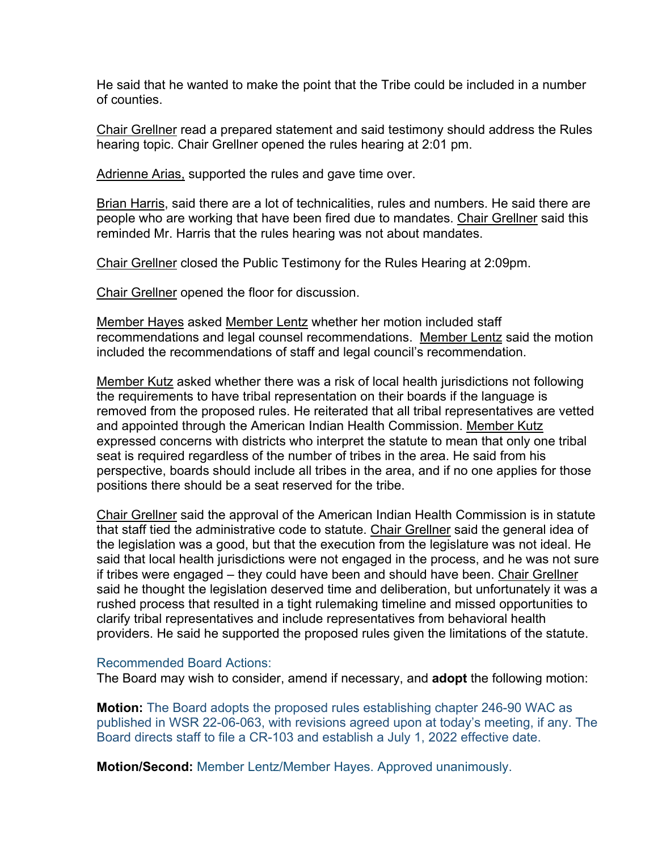He said that he wanted to make the point that the Tribe could be included in a number of counties.

Chair Grellner read a prepared statement and said testimony should address the Rules hearing topic. Chair Grellner opened the rules hearing at 2:01 pm.

Adrienne Arias, supported the rules and gave time over.

Brian Harris, said there are a lot of technicalities, rules and numbers. He said there are people who are working that have been fired due to mandates. Chair Grellner said this reminded Mr. Harris that the rules hearing was not about mandates.

Chair Grellner closed the Public Testimony for the Rules Hearing at 2:09pm.

Chair Grellner opened the floor for discussion.

Member Hayes asked Member Lentz whether her motion included staff recommendations and legal counsel recommendations. Member Lentz said the motion included the recommendations of staff and legal council's recommendation.

Member Kutz asked whether there was a risk of local health jurisdictions not following the requirements to have tribal representation on their boards if the language is removed from the proposed rules. He reiterated that all tribal representatives are vetted and appointed through the American Indian Health Commission. Member Kutz expressed concerns with districts who interpret the statute to mean that only one tribal seat is required regardless of the number of tribes in the area. He said from his perspective, boards should include all tribes in the area, and if no one applies for those positions there should be a seat reserved for the tribe.

Chair Grellner said the approval of the American Indian Health Commission is in statute that staff tied the administrative code to statute. Chair Grellner said the general idea of the legislation was a good, but that the execution from the legislature was not ideal. He said that local health jurisdictions were not engaged in the process, and he was not sure if tribes were engaged – they could have been and should have been. Chair Grellner said he thought the legislation deserved time and deliberation, but unfortunately it was a rushed process that resulted in a tight rulemaking timeline and missed opportunities to clarify tribal representatives and include representatives from behavioral health providers. He said he supported the proposed rules given the limitations of the statute.

#### Recommended Board Actions:

The Board may wish to consider, amend if necessary, and **adopt** the following motion:

**Motion:** The Board adopts the proposed rules establishing chapter 246-90 WAC as published in WSR 22-06-063, with revisions agreed upon at today's meeting, if any. The Board directs staff to file a CR-103 and establish a July 1, 2022 effective date.

**Motion/Second:** Member Lentz/Member Hayes. Approved unanimously.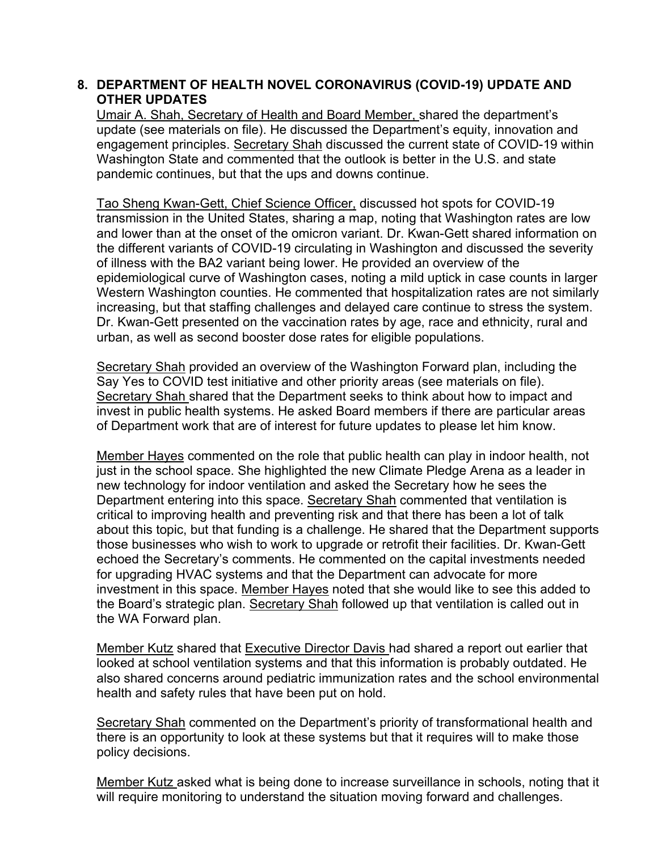# **8. DEPARTMENT OF HEALTH NOVEL CORONAVIRUS (COVID-19) UPDATE AND OTHER UPDATES**

Umair A. Shah, Secretary of Health and Board Member, shared the department's update (see materials on file). He discussed the Department's equity, innovation and engagement principles. Secretary Shah discussed the current state of COVID-19 within Washington State and commented that the outlook is better in the U.S. and state pandemic continues, but that the ups and downs continue.

Tao Sheng Kwan-Gett, Chief Science Officer, discussed hot spots for COVID-19 transmission in the United States, sharing a map, noting that Washington rates are low and lower than at the onset of the omicron variant. Dr. Kwan-Gett shared information on the different variants of COVID-19 circulating in Washington and discussed the severity of illness with the BA2 variant being lower. He provided an overview of the epidemiological curve of Washington cases, noting a mild uptick in case counts in larger Western Washington counties. He commented that hospitalization rates are not similarly increasing, but that staffing challenges and delayed care continue to stress the system. Dr. Kwan-Gett presented on the vaccination rates by age, race and ethnicity, rural and urban, as well as second booster dose rates for eligible populations.

Secretary Shah provided an overview of the Washington Forward plan, including the Say Yes to COVID test initiative and other priority areas (see materials on file). Secretary Shah shared that the Department seeks to think about how to impact and invest in public health systems. He asked Board members if there are particular areas of Department work that are of interest for future updates to please let him know.

Member Hayes commented on the role that public health can play in indoor health, not just in the school space. She highlighted the new Climate Pledge Arena as a leader in new technology for indoor ventilation and asked the Secretary how he sees the Department entering into this space. Secretary Shah commented that ventilation is critical to improving health and preventing risk and that there has been a lot of talk about this topic, but that funding is a challenge. He shared that the Department supports those businesses who wish to work to upgrade or retrofit their facilities. Dr. Kwan-Gett echoed the Secretary's comments. He commented on the capital investments needed for upgrading HVAC systems and that the Department can advocate for more investment in this space. Member Hayes noted that she would like to see this added to the Board's strategic plan. Secretary Shah followed up that ventilation is called out in the WA Forward plan.

Member Kutz shared that Executive Director Davis had shared a report out earlier that looked at school ventilation systems and that this information is probably outdated. He also shared concerns around pediatric immunization rates and the school environmental health and safety rules that have been put on hold.

Secretary Shah commented on the Department's priority of transformational health and there is an opportunity to look at these systems but that it requires will to make those policy decisions.

Member Kutz asked what is being done to increase surveillance in schools, noting that it will require monitoring to understand the situation moving forward and challenges.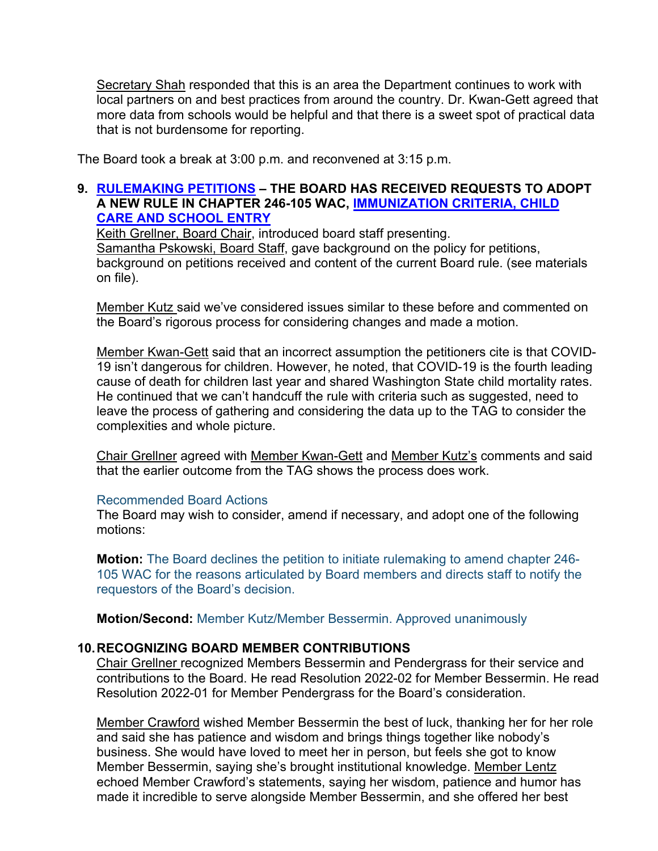Secretary Shah responded that this is an area the Department continues to work with local partners on and best practices from around the country. Dr. Kwan-Gett agreed that more data from schools would be helpful and that there is a sweet spot of practical data that is not burdensome for reporting.

The Board took a break at 3:00 p.m. and reconvened at 3:15 p.m.

### **9. [RULEMAKING PETITIONS](https://sboh.wa.gov/meetings/meeting-information/meeting-information/materials/2022-04-13) – THE BOARD HAS RECEIVED REQUESTS TO ADOPT A NEW RULE IN CHAPTER 246-105 WAC, [IMMUNIZATION CRITERIA, CHILD](https://app.leg.wa.gov/WAC/default.aspx?cite=246-105&full=true)  [CARE AND SCHOOL ENTRY](https://app.leg.wa.gov/WAC/default.aspx?cite=246-105&full=true)**

Keith Grellner, Board Chair, introduced board staff presenting. Samantha Pskowski, Board Staff, gave background on the policy for petitions, background on petitions received and content of the current Board rule. (see materials on file).

Member Kutz said we've considered issues similar to these before and commented on the Board's rigorous process for considering changes and made a motion.

Member Kwan-Gett said that an incorrect assumption the petitioners cite is that COVID-19 isn't dangerous for children. However, he noted, that COVID-19 is the fourth leading cause of death for children last year and shared Washington State child mortality rates. He continued that we can't handcuff the rule with criteria such as suggested, need to leave the process of gathering and considering the data up to the TAG to consider the complexities and whole picture.

Chair Grellner agreed with Member Kwan-Gett and Member Kutz's comments and said that the earlier outcome from the TAG shows the process does work.

#### Recommended Board Actions

The Board may wish to consider, amend if necessary, and adopt one of the following motions:

**Motion:** The Board declines the petition to initiate rulemaking to amend chapter 246- 105 WAC for the reasons articulated by Board members and directs staff to notify the requestors of the Board's decision.

**Motion/Second:** Member Kutz/Member Bessermin. Approved unanimously

# **10.RECOGNIZING BOARD MEMBER CONTRIBUTIONS**

Chair Grellner recognized Members Bessermin and Pendergrass for their service and contributions to the Board. He read Resolution 2022-02 for Member Bessermin. He read Resolution 2022-01 for Member Pendergrass for the Board's consideration.

Member Crawford wished Member Bessermin the best of luck, thanking her for her role and said she has patience and wisdom and brings things together like nobody's business. She would have loved to meet her in person, but feels she got to know Member Bessermin, saying she's brought institutional knowledge. Member Lentz echoed Member Crawford's statements, saying her wisdom, patience and humor has made it incredible to serve alongside Member Bessermin, and she offered her best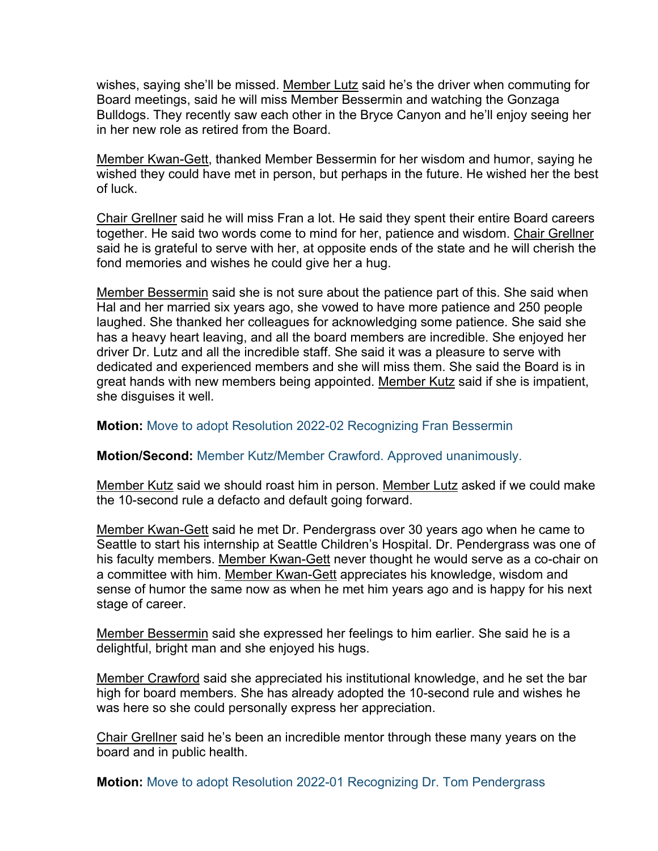wishes, saying she'll be missed. Member Lutz said he's the driver when commuting for Board meetings, said he will miss Member Bessermin and watching the Gonzaga Bulldogs. They recently saw each other in the Bryce Canyon and he'll enjoy seeing her in her new role as retired from the Board.

Member Kwan-Gett, thanked Member Bessermin for her wisdom and humor, saying he wished they could have met in person, but perhaps in the future. He wished her the best of luck.

Chair Grellner said he will miss Fran a lot. He said they spent their entire Board careers together. He said two words come to mind for her, patience and wisdom. Chair Grellner said he is grateful to serve with her, at opposite ends of the state and he will cherish the fond memories and wishes he could give her a hug.

Member Bessermin said she is not sure about the patience part of this. She said when Hal and her married six years ago, she vowed to have more patience and 250 people laughed. She thanked her colleagues for acknowledging some patience. She said she has a heavy heart leaving, and all the board members are incredible. She enjoyed her driver Dr. Lutz and all the incredible staff. She said it was a pleasure to serve with dedicated and experienced members and she will miss them. She said the Board is in great hands with new members being appointed. Member Kutz said if she is impatient, she disguises it well.

#### **Motion:** Move to adopt Resolution 2022-02 Recognizing Fran Bessermin

#### **Motion/Second:** Member Kutz/Member Crawford. Approved unanimously.

Member Kutz said we should roast him in person. Member Lutz asked if we could make the 10-second rule a defacto and default going forward.

Member Kwan-Gett said he met Dr. Pendergrass over 30 years ago when he came to Seattle to start his internship at Seattle Children's Hospital. Dr. Pendergrass was one of his faculty members. Member Kwan-Gett never thought he would serve as a co-chair on a committee with him. Member Kwan-Gett appreciates his knowledge, wisdom and sense of humor the same now as when he met him years ago and is happy for his next stage of career.

Member Bessermin said she expressed her feelings to him earlier. She said he is a delightful, bright man and she enjoyed his hugs.

Member Crawford said she appreciated his institutional knowledge, and he set the bar high for board members. She has already adopted the 10-second rule and wishes he was here so she could personally express her appreciation.

Chair Grellner said he's been an incredible mentor through these many years on the board and in public health.

**Motion:** Move to adopt Resolution 2022-01 Recognizing Dr. Tom Pendergrass